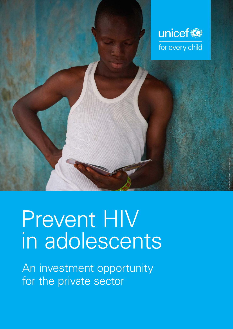

# Prevent HIV in adolescents

An investment opportunity for the private sector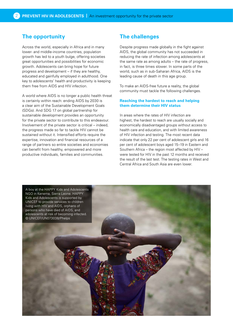# **The opportunity**

Across the world, especially in Africa and in many lower- and middle-income countries, population growth has led to a youth bulge, offering societies great opportunities and possibilities for economic growth. Adolescents can bring hope for future progress and development – if they are healthy, educated and gainfully employed in adulthood. One key to adolescents' health and productivity is keeping them free from AIDS and HIV infection.

A world where AIDS is no longer a public health threat is certainly within reach: ending AIDS by 2030 is a clear aim of the Sustainable Development Goals (SDGs). And SDG 17 on global partnership for sustainable development provides an opportunity for the private sector to contribute to this endeavour. Involvement of the private sector is critical – indeed, the progress made so far to tackle HIV cannot be sustained without it. Intensified efforts require the expertise, innovation and financial resources of a range of partners so entire societies and economies can benefit from healthy, empowered and more productive individuals, families and communities.

# **The challenges**

Despite progress made globally in the fight against AIDS, the global community has not succeeded in reducing the rate of infection among adolescents at the same rate as among adults – the rate of progress, in fact, is three times slower. In some parts of the world, such as in sub-Saharan Africa, AIDS is the leading cause of death in this age group.

To make an AIDS-free future a reality, the global community must tackle the following challenges.

## **Reaching the hardest to reach and helping them determine their HIV status**

In areas where the rates of HIV infection are highest, the hardest to reach are usually socially and economically disadvantaged groups without access to health care and education, and with limited awareness of HIV infection and testing. The most recent data indicate that only 22 per cent of adolescent girls and 16 per cent of adolescent boys aged 15–19 in Eastern and Southern Africa – the region most affected by HIV – were tested for HIV in the past 12 months and received the result of the last test. The testing rates in West and Central Africa and South Asia are even lower.

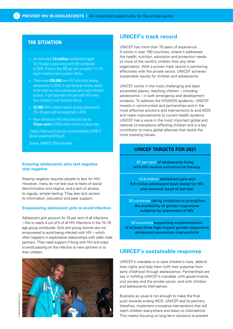# **THE SITUATION**

- An estimated **1.6 million** adolescents (aged 10–19 years) were living with HIV worldwide in 2018. Three in five (68 per cent or nearly 7 in 10) lived in eastern and southern Africa.
- There were **250,000** new HIV infections among adolescents in 2018. In sub-Saharan Africa, nearly three times as many adolescent girls were infected as boys. A girl becomes infected with HIV every four minutes in sub-Saharan Africa.
- **33,000** AIDS-related deaths among adolescents (10–19 years old) are expected in 2019.
- New adolescent HIV infections will rise by **13 per cent** by 2030 unless action is taken now.

*[<https://data.unicef.org/wp-content/uploads/2018/11](https://data.unicef.org/wp-content/uploads/2018/11/Global-snapshot-2018.pdf) [Global-snapshot-2018.pdf](https://data.unicef.org/wp-content/uploads/2018/11/Global-snapshot-2018.pdf)>*

*Source: UNAIDS 2019 estimates*

## **Ensuring adolescents who test negative stay negative**

Staying negative requires people to test for HIV. However, many do not test due to fears of social discrimination and stigma, and a lack of access to regular, simple testing. They also lack access to information, education and peer support.

### **Empowering adolescent girls to avoid infection**

Adolescent girls account for 74 per cent of all infections – this is nearly 4 out of 5 of all HIV infections in the 15–19 age group worldwide. Girls and young women are not empowered to avoid being infected with HIV – which often happens in exploitative relationships with older male partners. They need support if living with HIV and ways to avoid passing on the infection to new partners or to their children.



# **UNICEF's track record**

UNICEF has more than 70 years of experience. It works in over 190 countries, where it addresses the health, nutrition, education and protection needs of more of the world's children than any other organization. With a proven track record in partnering effectively with the private sector, UNICEF achieves sustainable results for children and adolescents.

UNICEF works in the most challenging and least accessible places, reaching children – including adolescents – in both emergency and development contexts. To address the HIV/AIDS epidemic, UNICEF invests in communities and partnerships and in the most effective solutions and interventions to end AIDS and make improvements to current health systems. UNICEF has a voice in the most important global and national conversations affecting children and is a key contributor to many global alliances that tackle the most pressing issues.

# **UNICEF TARGETS FOR 2021**

81 per cent of adolescents living with HIV receive antiretroviral therapy

13.8 million adolescent girls and 9.8 million adolescent boys tested for HIV and received result of last test

25 countries taking initiatives to strengthen the availability of gender-responsive evidence for prevention of HIV

32 countries supporting implementation of at least three high-impact gender-responsive adolescent prevention interventions

# **UNICEF's sustainable response**

UNICEF's mandate is to save children's lives, defend their rights and help them fulfil their potential from early childhood through adolescence. Partnerships are key in fulfilling UNICEF's mandate, with governments, civil society and the private sector, and with children and adolescents themselves.

Business as usual is not enough to make the final push towards ending AIDS. UNICEF and its partners, therefore, implement innovative interventions that will reach children everywhere and leave no child behind. This means focusing on long-term solutions to prevent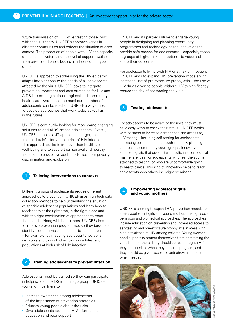future transmission of HIV while treating those living with the virus today. UNICEF's approach varies in different communities and reflects the situation of each context. The proportion of people with HIV, the capacity of the health system and the level of support available from private and public bodies all influence the type of response.

UNICEF's approach to addressing the HIV epidemic adapts interventions to the needs of all adolescents affected by the virus. UNICEF looks to integrate prevention, treatment and care strategies for HIV and AIDS into existing national, regional and community health care systems so the maximum number of adolescents can be reached. UNICEF always tries to develop approaches that work today as well as in the future.

UNICEF is continually looking for more game-changing solutions to end AIDS among adolescents. Overall, UNICEF supports a 4T approach – 'target, test, treat and train' – for youth at risk of HIV infection. This approach seeks to improve their health and well-being and to assure their survival and healthy transition to productive adulthoods free from poverty, discrimination and exclusion.



## **1 Tailoring interventions to contexts**

Different groups of adolescents require different approaches to prevention. UNICEF uses high-tech data collection methods to help understand the situation of specific adolescent populations and learn how to reach them at the right time, in the right place and with the right combination of approaches to meet their needs. Along with its partners, UNICEF aims to improve prevention programmes so they target and identify hidden, invisible and hard-to-reach populations – for example, by mapping adolescents' personal networks and through champions in adolescent populations at high risk of HIV infection.



## **2 Training adolescents to prevent infection**

Adolescents must be trained so they can participate in helping to end AIDS in their age group. UNICEF works with partners to:

- Increase awareness among adolescents of the importance of prevention strategies
- Educate young people about the risks
- Give adolescents access to HIV information, education and peer support

UNICEF and its partners strive to engage young people in designing and planning community programmes and technology-based innovations to provide safe spaces for adolescents – especially those in groups at higher risk of infection – to voice and share their concerns.

For adolescents living with HIV or at risk of infection, UNICEF aims to expand HIV prevention models with increased use of pre-exposure prophylaxis – the use of HIV drugs given to people without HIV to significantly reduce the risk of contracting the virus.



### **3 Testing adolescents**

For adolescents to be aware of the risks, they must have easy ways to check their status. UNICEF works with partners to increase demand for, and access to, HIV testing – including self-testing for adolescents – in existing points of contact, such as family planning centres and community youth groups. Innovative self-testing kits that give instant results in a confidential manner are ideal for adolescents who fear the stigma attached to testing, or who are uncomfortable going to health clinics. This kind of innovation helps to reach adolescents who otherwise might be missed.



#### **Empowering adolescent girls and young mothers**

UNICEF is seeking to expand HIV prevention models for at-risk adolescent girls and young mothers through social, behaviour and biomedical approaches. The approaches include education on prevention and increased access to self-testing and pre-exposure prophylaxis in areas with high prevalence of HIV among children. Young women need support to protect themselves from contracting the virus from partners. They should be tested regularly if they are at risk or when they become pregnant, and they should be given access to antiretroviral therapy when needed.



VICEF/UND294581//FRANK DEJONGH © UNICEF/UN0294581// FRANK DEJONGH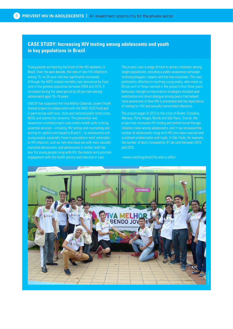# **CASE STUDY: Increasing HIV testing among adolescents and youth in key populations in Brazil**

Young people are bearing the brunt of the HIV epidemic in Brazil. Over the past decade, the rate of new HIV infections among 15- to 24-year-olds has significantly increased. Although the AIDS-related mortality rate decreased by 5 per cent in the general population between 2004 and 2015, it increased during the same period by 53 per cent among adolescents aged 15–19 years.

UNICEF has supported the Viva Melhor Sabendo Jovem (Youth Aware) project in collaboration with the MAC AIDS Fund and in partnership with local, state and national public institutions, NGOs and community networks. This prevention and awareness-oriented project uses mobile health units to bring essential services – including HIV testing and counselling and testing for syphilis and hepatitis B and C – to adolescents and young people, especially those in populations most vulnerable to HIV infection, such as men who have sex with men, sexually exploited adolescents, and adolescents in conflict with the law. For young people living with HIV, the mobile units promote engagement with the health service and retention in care.

The project uses a range of tools to attract attention among target populations, including a public awareness campaign involving bloggers, rappers and hip-hop musicians. This was particularly effective in reaching young males, who made up 60 per cent of those reached in the project's first three years. Behaviour change communication strategies included peer mobilization and direct dialogue among peers that helped raise awareness of how HIV is prevented and the importance of testing for HIV and sexually transmitted infections.

The project began in 2013 in the cities of Belém, Fortaleza, Manaus, Porto Alegre, Recife and São Paulo. Overall, the project has increased HIV testing and antiretroviral therapy initiation rates among adolescents, and it has increased the number of adolescents living with HIV who have reached and sustained undetectable viral loads. In São Paulo, for example, the number of tests increased by 47 per cent between 2013 and 2016.

*<[www.unicef.org/brazil/hiv-aids-e-sifilis](http://www.unicef.org/brazil/hiv-aids-e-sifilis)>* 

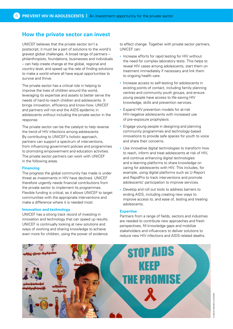# **How the private sector can invest**

UNICEF believes that the private sector isn't a postscript; it must be a part of solutions to the world's gravest global challenges. A broad range of partners – philanthropists, foundations, businesses and individuals – can help create change at the global, regional and country level, and speed up the rate of finding solutions to make a world where all have equal opportunities to survive and thrive.

The private sector has a critical role in helping to improve the lives of children around the world, leveraging its expertise and assets to better serve the needs of hard-to-reach children and adolescents. It brings innovation, efficiency and know-how. UNICEF and partners will not end the AIDS epidemic in adolescents without including the private sector in the response.

The private sector can be the catalyst to help reverse the trend of HIV infections among adolescents. By contributing to UNICEF's holistic approach, partners can support a spectrum of interventions, from influencing government policies and programmes to promoting empowerment and education activities. The private sector partners can work with UNICEF in the following areas.

#### **Financing**

The progress the global community has made is under threat as investments in HIV have declined. UNICEF therefore urgently needs financial contributions from the private sector to implement its programmes. Flexible funding is critical, as it allows UNICEF to target communities with the appropriate interventions and make a difference where it is needed most.

#### **Innovation and technology**

UNICEF has a strong track record of investing in innovation and technology that can speed up results. UNICEF is continually looking at new solutions and ways of working and sharing knowledge to achieve even more for children, using the power of evidence

to effect change. Together with private sector partners, UNICEF can:

- Increase efforts for rapid testing for HIV without the need for complex laboratory tests. This helps to reveal HIV cases among adolescents, start them on treatment immediately if necessary and link them to ongoing health care.
- Increase access to self-testing for adolescents in existing points of contact, including family planning centres and community youth groups, and ensure young people have access to life-saving HIV knowledge, skills and prevention services.
- Expand HIV prevention models for at-risk HIV-negative adolescents with increased use of pre-exposure prophylaxis.
- Engage young people in designing and planning community programmes and technology-based innovations to provide safe spaces for youth to voice and share their concerns.
- Use innovative digital technologies to transform how to reach, inform and treat adolescents at risk of HIV, and continue enhancing digital technologies and e-learning platforms to share knowledge on caring for adolescents with HIV. This includes, for example, using digital platforms such as U-Report and RapidPro to track interventions and promote adolescents' participation to improve services.
- Develop and roll out tools to address barriers to ending AIDS, including creating new ways to improve access to, and ease of, testing and treating adolescents.

#### **Expertise**

Partners from a range of fields, sectors and industries are needed to contribute new approaches and fresh perspectives, fill knowledge gaps and mobilize stakeholders and influencers to deliver solutions to reduce new HIV infections and AIDS-related deaths.

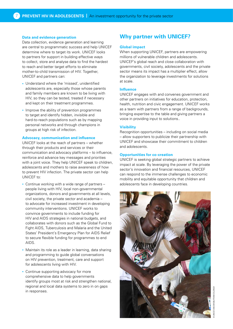#### **Data and evidence generation**

Data collection, evidence generation and learning are central to programmatic success and help UNICEF determine where to target its work. UNICEF looks to partners for support in building effective ways to collect, store and analyse data to find the hardest to reach and better target efforts to eliminate mother-to-child transmission of HIV. Together, UNICEF and partners can:

- Understand where the 'missed', unidentified adolescents are, especially those whose parents and family members are known to be living with HIV, so they can be tested, treated if necessary and kept on their treatment programmes.
- Improve the ability of prevention programmes to target and identify hidden, invisible and hard-to-reach populations such as by mapping personal networks and through champions in groups at high risk of infection.

## **Advocacy, communication and influence**

UNICEF looks at the reach of partners – whether through their products and services or their communication and advocacy platforms – to influence, reinforce and advance key messages and priorities with a joint voice. They help UNICEF speak to children, adolescents and mothers to raise awareness of how to prevent HIV infection. The private sector can help UNICEF to:

- Continue working with a wide range of partners people living with HIV, local non-governmental organizations, donors and governments at all levels, civil society, the private sector and academia – to advocate for increased investment in developing community interventions. UNICEF works to convince governments to include funding for HIV and AIDS strategies in national budgets, and collaborates with donors such as the Global Fund to Fight AIDS, Tuberculosis and Malaria and the United States' President's Emergency Plan for AIDS Relief to secure flexible funding for programmes to end AIDS.
- Maintain its role as a leader in learning, data sharing and programming to guide global conversations on HIV prevention, treatment, care and support for adolescents living with HIV.
- Continue supporting advocacy for more comprehensive data to help governments identify groups most at risk and strengthen national, regional and local data systems to zero in on gaps in responses.

# **Why partner with UNICEF?**

#### **Global impact**

When supporting UNICEF, partners are empowering millions of vulnerable children and adolescents. UNICEF's global reach and close collaboration with governments, civil society, adolescents and the private sector means its impact has a multiplier effect, allow the organization to leverage investments for solutions at scale.

#### **Influence**

UNICEF engages with and convenes government and other partners on initiatives for education, protection, health, nutrition and civic engagement. UNICEF works as a team with partners from a range of backgrounds, bringing expertise to the table and giving partners a voice in providing input to solutions..

#### **Visibility**

Recognition opportunities – including on social media – allow supporters to publicize their partnership with UNICEF and showcase their commitment to children and adolescents.

#### **Opportunities for co-creation**

UNICEF is seeking global strategic partners to achieve impact at scale. By leveraging the power of the private sector's innovation and financial resources, UNICEF can respond to the immense challenges to economic mobility and equitable opportunity that children and adolescents face in developing countries.